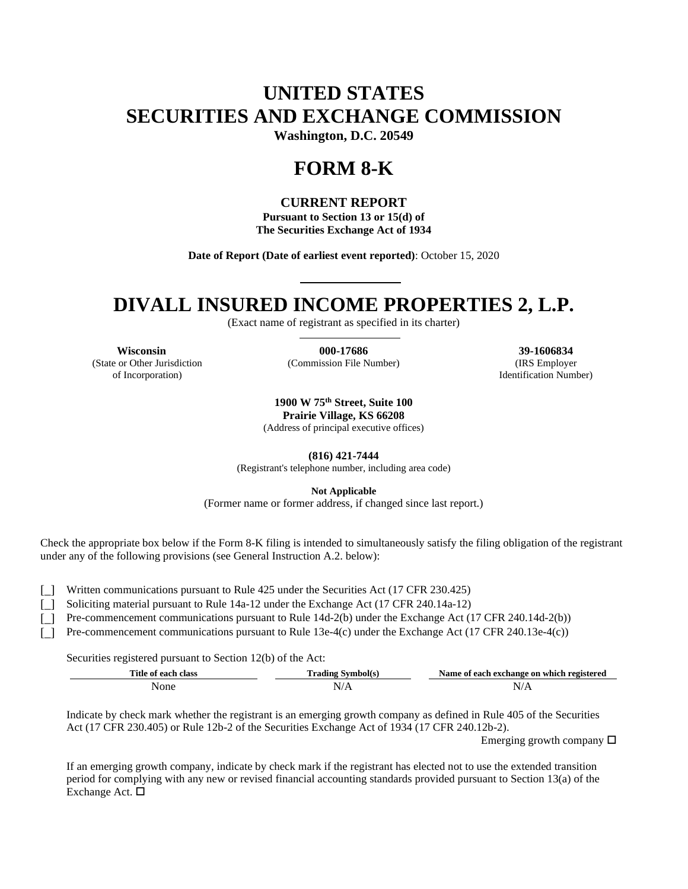# **UNITED STATES SECURITIES AND EXCHANGE COMMISSION**

**Washington, D.C. 20549**

## **FORM 8-K**

### **CURRENT REPORT**

**Pursuant to Section 13 or 15(d) of The Securities Exchange Act of 1934**

**Date of Report (Date of earliest event reported)**: October 15, 2020

### **DIVALL INSURED INCOME PROPERTIES 2, L.P.**

(Exact name of registrant as specified in its charter)

**Wisconsin 000-17686 39-1606834** (State or Other Jurisdiction of Incorporation)

(Commission File Number) (IRS Employer

Identification Number)

**1900 W 75th Street, Suite 100 Prairie Village, KS 66208** (Address of principal executive offices)

**(816) 421-7444**

(Registrant's telephone number, including area code)

**Not Applicable**

(Former name or former address, if changed since last report.)

Check the appropriate box below if the Form 8-K filing is intended to simultaneously satisfy the filing obligation of the registrant under any of the following provisions (see General Instruction A.2. below):

[] Written communications pursuant to Rule 425 under the Securities Act (17 CFR 230.425)

[\_] Soliciting material pursuant to Rule 14a-12 under the Exchange Act (17 CFR 240.14a-12)

[] Pre-commencement communications pursuant to Rule 14d-2(b) under the Exchange Act (17 CFR 240.14d-2(b))

[] Pre-commencement communications pursuant to Rule 13e-4(c) under the Exchange Act (17 CFR 240.13e-4(c))

Securities registered pursuant to Section 12(b) of the Act:

| Title of each class | l'rading Symbol(s) | Name of each exchange on which registered |
|---------------------|--------------------|-------------------------------------------|
| None                | N/A                | ₩<br>17 T.X                               |

Indicate by check mark whether the registrant is an emerging growth company as defined in Rule 405 of the Securities Act (17 CFR 230.405) or Rule 12b-2 of the Securities Exchange Act of 1934 (17 CFR 240.12b-2).

Emerging growth company  $\Box$ 

If an emerging growth company, indicate by check mark if the registrant has elected not to use the extended transition period for complying with any new or revised financial accounting standards provided pursuant to Section 13(a) of the Exchange Act.  $\square$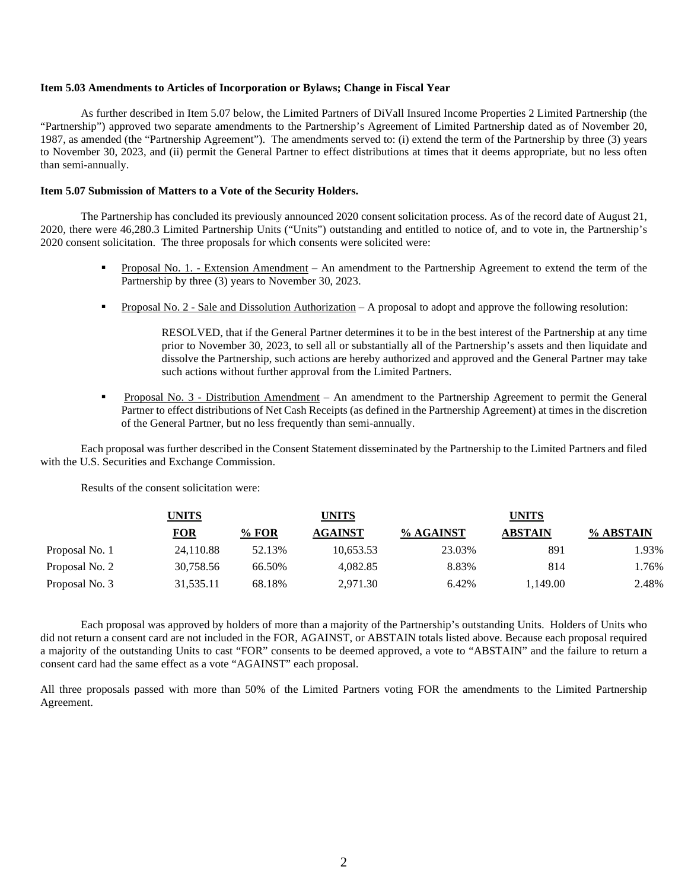#### **Item 5.03 Amendments to Articles of Incorporation or Bylaws; Change in Fiscal Year**

As further described in Item 5.07 below, the Limited Partners of DiVall Insured Income Properties 2 Limited Partnership (the "Partnership") approved two separate amendments to the Partnership's Agreement of Limited Partnership dated as of November 20, 1987, as amended (the "Partnership Agreement"). The amendments served to: (i) extend the term of the Partnership by three (3) years to November 30, 2023, and (ii) permit the General Partner to effect distributions at times that it deems appropriate, but no less often than semi-annually.

#### **Item 5.07 Submission of Matters to a Vote of the Security Holders.**

The Partnership has concluded its previously announced 2020 consent solicitation process. As of the record date of August 21, 2020, there were 46,280.3 Limited Partnership Units ("Units") outstanding and entitled to notice of, and to vote in, the Partnership's 2020 consent solicitation. The three proposals for which consents were solicited were:

- Proposal No. 1. Extension Amendment An amendment to the Partnership Agreement to extend the term of the Partnership by three (3) years to November 30, 2023.
- Proposal No. 2 Sale and Dissolution Authorization A proposal to adopt and approve the following resolution:

RESOLVED, that if the General Partner determines it to be in the best interest of the Partnership at any time prior to November 30, 2023, to sell all or substantially all of the Partnership's assets and then liquidate and dissolve the Partnership, such actions are hereby authorized and approved and the General Partner may take such actions without further approval from the Limited Partners.

 Proposal No. 3 - Distribution Amendment – An amendment to the Partnership Agreement to permit the General Partner to effect distributions of Net Cash Receipts (as defined in the Partnership Agreement) at times in the discretion of the General Partner, but no less frequently than semi-annually.

Each proposal was further described in the Consent Statement disseminated by the Partnership to the Limited Partners and filed with the U.S. Securities and Exchange Commission.

Results of the consent solicitation were:

|                | UNITS      |         | UNITS          | <b>UNITS</b> |                |           |
|----------------|------------|---------|----------------|--------------|----------------|-----------|
|                | <b>FOR</b> | $%$ FOR | <b>AGAINST</b> | % AGAINST    | <b>ABSTAIN</b> | % ABSTAIN |
| Proposal No. 1 | 24,110.88  | 52.13%  | 10,653.53      | 23.03%       | 891            | 1.93%     |
| Proposal No. 2 | 30,758.56  | 66.50%  | 4.082.85       | 8.83%        | 814            | 1.76%     |
| Proposal No. 3 | 31,535.11  | 68.18%  | 2,971.30       | 6.42%        | 1.149.00       | 2.48%     |

Each proposal was approved by holders of more than a majority of the Partnership's outstanding Units. Holders of Units who did not return a consent card are not included in the FOR, AGAINST, or ABSTAIN totals listed above. Because each proposal required a majority of the outstanding Units to cast "FOR" consents to be deemed approved, a vote to "ABSTAIN" and the failure to return a consent card had the same effect as a vote "AGAINST" each proposal.

All three proposals passed with more than 50% of the Limited Partners voting FOR the amendments to the Limited Partnership Agreement.